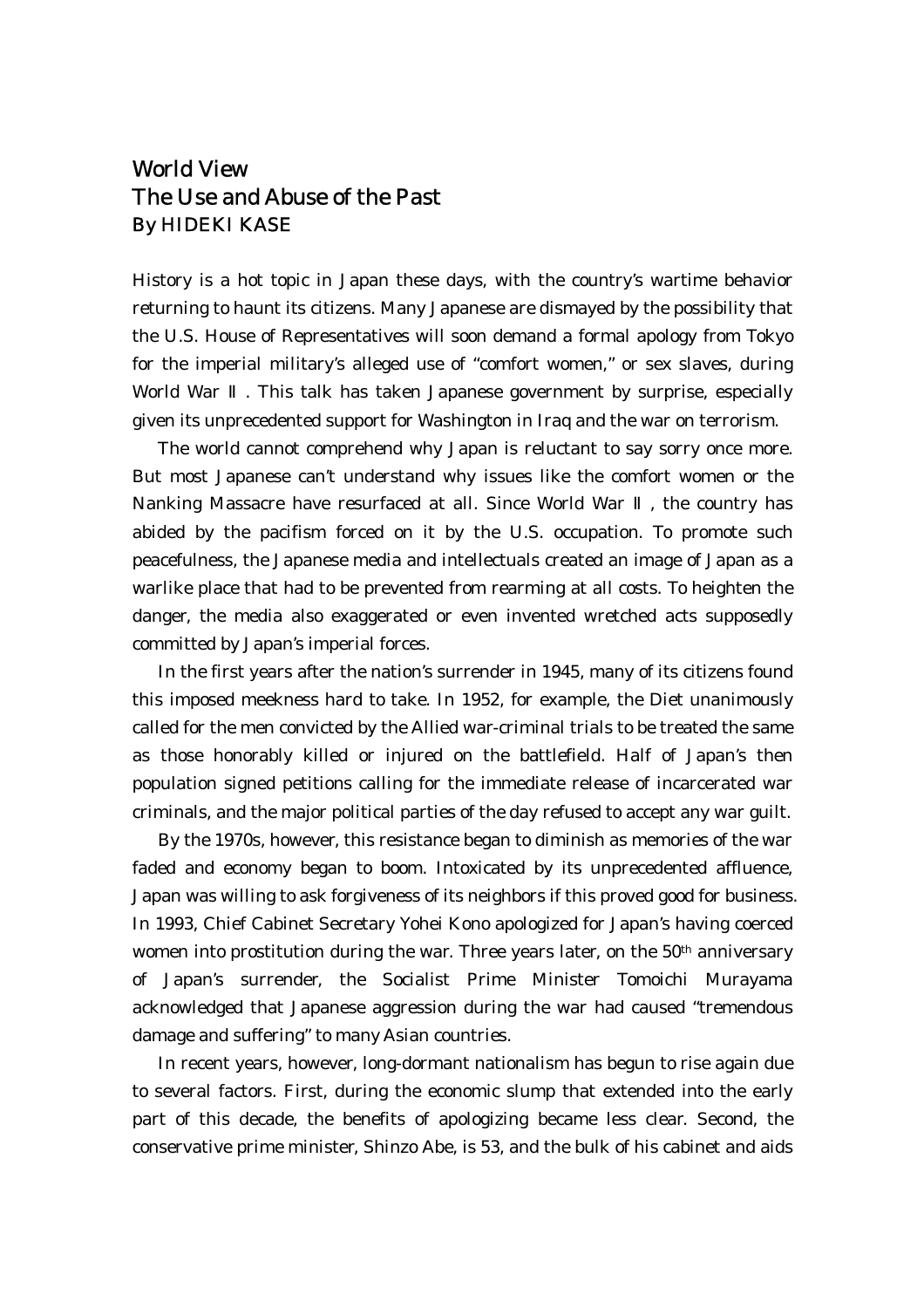## World View The Use and Abuse of the Past By HIDEKI KASE

History is a hot topic in Japan these days, with the country's wartime behavior returning to haunt its citizens. Many Japanese are dismayed by the possibility that the U.S. House of Representatives will soon demand a formal apology from Tokyo for the imperial military's alleged use of "comfort women," or sex slaves, during World War . This talk has taken Japanese government by surprise, especially given its unprecedented support for Washington in Iraq and the war on terrorism.

 The world cannot comprehend why Japan is reluctant to say sorry once more. But most Japanese can't understand why issues like the comfort women or the Nanking Massacre have resurfaced at all. Since World War , the country has abided by the pacifism forced on it by the U.S. occupation. To promote such peacefulness, the Japanese media and intellectuals created an image of Japan as a warlike place that had to be prevented from rearming at all costs. To heighten the danger, the media also exaggerated or even invented wretched acts supposedly committed by Japan's imperial forces.

 In the first years after the nation's surrender in 1945, many of its citizens found this imposed meekness hard to take. In 1952, for example, the Diet unanimously called for the men convicted by the Allied war-criminal trials to be treated the same as those honorably killed or injured on the battlefield. Half of Japan's then population signed petitions calling for the immediate release of incarcerated war criminals, and the major political parties of the day refused to accept any war guilt.

 By the 1970s, however, this resistance began to diminish as memories of the war faded and economy began to boom. Intoxicated by its unprecedented affluence, Japan was willing to ask forgiveness of its neighbors if this proved good for business. In 1993, Chief Cabinet Secretary Yohei Kono apologized for Japan's having coerced women into prostitution during the war. Three years later, on the  $50<sup>th</sup>$  anniversary of Japan's surrender, the Socialist Prime Minister Tomoichi Murayama acknowledged that Japanese aggression during the war had caused "tremendous damage and suffering" to many Asian countries.

 In recent years, however, long-dormant nationalism has begun to rise again due to several factors. First, during the economic slump that extended into the early part of this decade, the benefits of apologizing became less clear. Second, the conservative prime minister, Shinzo Abe, is 53, and the bulk of his cabinet and aids